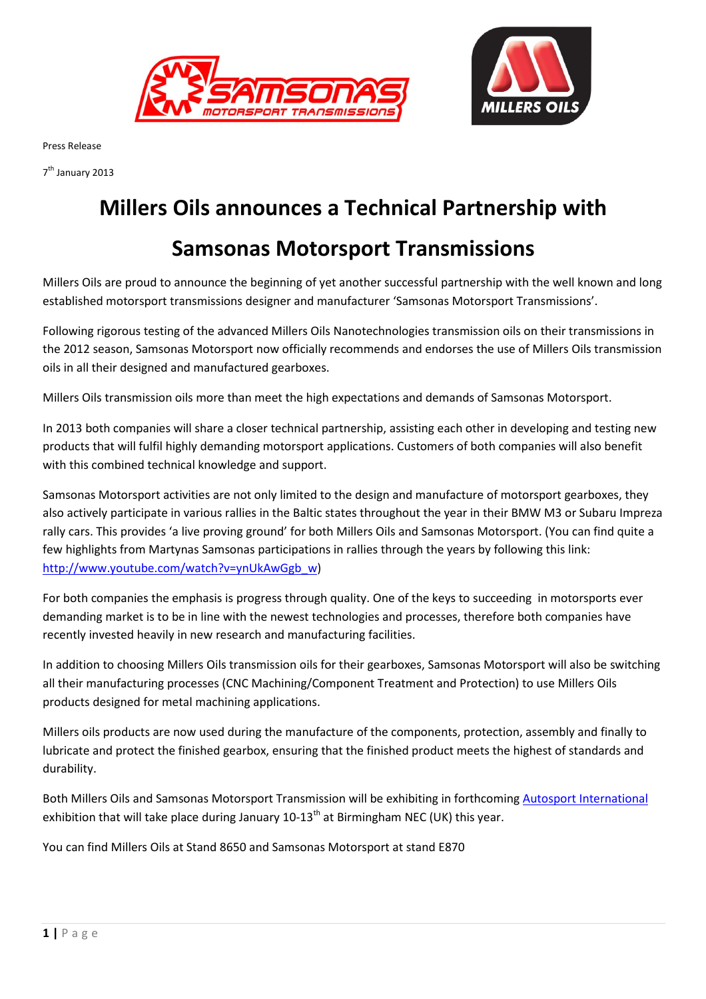



Press Release

7<sup>th</sup> January 2013

## Millers Oils announces a Technical Partnership with

## Samsonas Motorsport Transmissions

Millers Oils are proud to announce the beginning of yet another successful partnership with the well known and long established motorsport transmissions designer and manufacturer 'Samsonas Motorsport Transmissions'.

Following rigorous testing of the advanced Millers Oils Nanotechnologies transmission oils on their transmissions in the 2012 season, Samsonas Motorsport now officially recommends and endorses the use of Millers Oils transmission oils in all their designed and manufactured gearboxes.

Millers Oils transmission oils more than meet the high expectations and demands of Samsonas Motorsport.

In 2013 both companies will share a closer technical partnership, assisting each other in developing and testing new products that will fulfil highly demanding motorsport applications. Customers of both companies will also benefit with this combined technical knowledge and support.

Samsonas Motorsport activities are not only limited to the design and manufacture of motorsport gearboxes, they also actively participate in various rallies in the Baltic states throughout the year in their BMW M3 or Subaru Impreza rally cars. This provides 'a live proving ground' for both Millers Oils and Samsonas Motorsport. (You can find quite a few highlights from Martynas Samsonas participations in rallies through the years by following this link: http://www.youtube.com/watch?v=ynUkAwGgb\_w)

For both companies the emphasis is progress through quality. One of the keys to succeeding in motorsports ever demanding market is to be in line with the newest technologies and processes, therefore both companies have recently invested heavily in new research and manufacturing facilities.

In addition to choosing Millers Oils transmission oils for their gearboxes, Samsonas Motorsport will also be switching all their manufacturing processes (CNC Machining/Component Treatment and Protection) to use Millers Oils products designed for metal machining applications.

Millers oils products are now used during the manufacture of the components, protection, assembly and finally to lubricate and protect the finished gearbox, ensuring that the finished product meets the highest of standards and durability.

Both Millers Oils and Samsonas Motorsport Transmission will be exhibiting in forthcoming Autosport International exhibition that will take place during January 10-13<sup>th</sup> at Birmingham NEC (UK) this year.

You can find Millers Oils at Stand 8650 and Samsonas Motorsport at stand E870